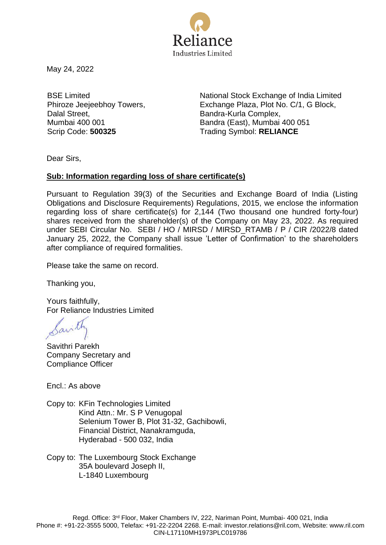

May 24, 2022

BSE Limited Phiroze Jeejeebhoy Towers, Dalal Street, Mumbai 400 001

National Stock Exchange of India Limited Exchange Plaza, Plot No. C/1, G Block, Bandra-Kurla Complex, Bandra (East), Mumbai 400 051 Scrip Code: **500325** Trading Symbol: **RELIANCE** 

Dear Sirs,

## **Sub: Information regarding loss of share certificate(s)**

Pursuant to Regulation 39(3) of the Securities and Exchange Board of India (Listing Obligations and Disclosure Requirements) Regulations, 2015, we enclose the information regarding loss of share certificate(s) for 2,144 (Two thousand one hundred forty-four) shares received from the shareholder(s) of the Company on May 23, 2022. As required under SEBI Circular No. SEBI / HO / MIRSD / MIRSD\_RTAMB / P / CIR /2022/8 dated January 25, 2022, the Company shall issue 'Letter of Confirmation' to the shareholders after compliance of required formalities.

Please take the same on record.

Thanking you,

Yours faithfully, For Reliance Industries Limited

avil

Savithri Parekh Company Secretary and Compliance Officer

Encl.: As above

Copy to: KFin Technologies Limited Kind Attn.: Mr. S P Venugopal Selenium Tower B, Plot 31-32, Gachibowli, Financial District, Nanakramguda, Hyderabad - 500 032, India

Copy to: The Luxembourg Stock Exchange 35A boulevard Joseph II, L-1840 Luxembourg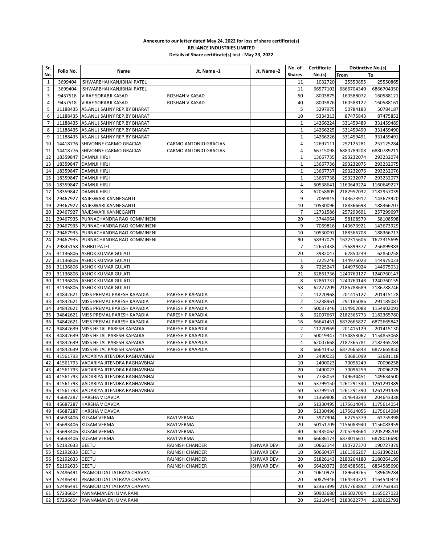## **Annexure to our letter dated May 24, 2022 for loss of share certificate(s) RELIANCE INDUSTRIES LIMITED Details of Share certificate(s) lost - May 23, 2022**

| Sr. | Folio No.      |                                         |                       |                    | No. of         | Certificate | Distinctive No.(s) |                        |
|-----|----------------|-----------------------------------------|-----------------------|--------------------|----------------|-------------|--------------------|------------------------|
| No. |                | Name                                    | Jt. Name -1           | Jt. Name -2        | <b>Shares</b>  | No.(s)      | From               | To                     |
| 1   | 3699404        | ISHWARBHAI KANJIBHAI PATEL              |                       |                    | 11             | 1032720     | 25550855           | 25550865               |
| 2   | 3699404        | ISHWARBHAI KANJIBHAI PATEL              |                       |                    | 11             | 66577102    | 6866704340         | 6866704350             |
| 3   | 9457518        | <b>VIRAF SORABJI KASAD</b>              | ROSHAN V KASAD        |                    | 50             | 8003875     | 160588072          | 160588121              |
| 4   | 9457518        | <b>VIRAF SORABJI KASAD</b>              | ROSHAN V KASAD        |                    | 40             | 8003876     | 160588122          | 160588161              |
| 5   |                | 11188435 AS.ANUJ SAHNY REP.BY BHARAT    |                       |                    | 5              | 3297975     | 50784183           | 50784187               |
| 6   | 11188435       | AS.ANUJ SAHNY REP.BY BHARAT             |                       |                    | 10             | 5334313     | 87475843           | 87475852               |
| 7   |                | 11188435 AS.ANUJ SAHNY REP.BY BHARAT    |                       |                    | $\mathbf{1}$   | 14266224    | 331459489          | 331459489              |
| 8   |                | 11188435 AS.ANUJ SAHNY REP.BY BHARAT    |                       |                    | $\mathbf{1}$   | 14266225    | 331459490          | 331459490              |
| 9   |                | 11188435 AS.ANUJ SAHNY REP.BY BHARAT    |                       |                    | $\mathbf 1$    | 14266226    | 331459491          | 331459491              |
| 10  |                | 14418776 SHIVONNE CARMO GRACIAS         | CARMO ANTONIO GRACIAS |                    | 4              | 12697111    | 257125281          | 257125284              |
| 11  |                | 14418776 SHIVONNE CARMO GRACIAS         | CARMO ANTONIO GRACIAS |                    | 4              | 66715098    | 6880789208         | 6880789211             |
| 12  | 18359847       | <b>DAMNJI HIRJI</b>                     |                       |                    | $\mathbf 1$    | 13667735    | 293232074          | 293232074              |
| 13  | 18359847       | <b>DAMNJI HIRJI</b>                     |                       |                    | $\mathbf{1}$   | 13667736    | 293232075          | 293232075              |
| 14  |                | 18359847   DAMNJI HIRJI                 |                       |                    | $1\,$          | 13667737    | 293232076          | 293232076              |
| 15  |                | 18359847   DAMNJI HIRJI                 |                       |                    | $1\,$          | 13667738    | 293232077          | 293232077              |
| 16  | 18359847       | DAMNJI HIRJI                            |                       |                    | 4              | 50538641    | 1160649224         | 1160649227             |
| 17  |                | 18359847   DAMNJI HIRJI                 |                       |                    | 8              | 62058805    | 2182957032         | 2182957039             |
| 18  |                | 29467927 RAJESWARI KANNEGANTI           |                       |                    | 9              | 7069815     | 143673912          | 143673920              |
| 19  |                | 29467927 RAJESWARI KANNEGANTI           |                       |                    | 10             | 10530096    | 188366698          |                        |
| 20  |                | 29467927 RAJESWARI KANNEGANTI           |                       |                    | $\overline{7}$ | 12731586    | 257299691          | 188366707<br>257299697 |
|     |                |                                         |                       |                    |                |             |                    |                        |
| 21  |                | 29467935 PURNACHANDRA RAO KOMMINENI     |                       |                    | 20             | 3744964     | 58108579           | 58108598               |
| 22  |                | 29467935 PURNACHANDRA RAO KOMMINENI     |                       |                    | 9              | 7069816     | 143673921          | 143673929              |
| 23  |                | 29467935 PURNACHANDRA RAO KOMMINENI     |                       |                    | 10             | 10530097    | 188366708          | 188366717              |
| 24  |                | 29467935 PURNACHANDRA RAO KOMMINENI     |                       |                    | 90             | 58397075    | 1622315606         | 1622315695             |
| 25  |                | 29845158 ASHRU PATEL                    |                       |                    | $\overline{7}$ | 12651438    | 256899377          | 256899383              |
| 26  |                | 31136806 ASHOK KUMAR GULATI             |                       |                    | 20             | 3982047     | 62850239           | 62850258               |
| 27  |                | 31136806 ASHOK KUMAR GULATI             |                       |                    | $1\,$          | 7225246     | 144975023          | 144975023              |
| 28  |                | 31136806 ASHOK KUMAR GULATI             |                       |                    | 8              | 7225247     | 144975024          | 144975031              |
| 29  |                | 31136806 ASHOK KUMAR GULATI             |                       |                    | 21             | 52861736    | 1240760127         | 1240760147             |
| 30  |                | 31136806 ASHOK KUMAR GULATI             |                       |                    | 8              | 52861737    | 1240760148         | 1240760155             |
| 31  |                | 31136806 ASHOK KUMAR GULATI             |                       |                    | 58             | 62227209    | 2186788689         | 2186788746             |
| 32  | 34842621       | MISS PREMAL PARESH KAPADIA              | PARESH P KAPADIA      |                    | $\overline{2}$ | 11220968    | 201415127          | 201415128              |
| 33  | 34842621       | MISS PREMAL PARESH KAPADIA              | PARESH P KAPADIA      |                    | $\overline{2}$ | 13238961    | 291185086          | 291185087              |
| 34  |                | 34842621 MISS PREMAL PARESH KAPADIA     | PARESH P KAPADIA      |                    | 4              | 50037346    | 1154902088         | 1154902091             |
| 35  | 34842621       | MISS PREMAL PARESH KAPADIA              | PARESH P KAPADIA      |                    | 8              | 62007667    | 2182365773         | 2182365780             |
| 36  | 34842621       | MISS PREMAL PARESH KAPADIA              | PARESH P KAPADIA      |                    | 16             | 66641451    | 6872665827         | 6872665842             |
| 37  |                | 34842639 MISS HETAL PARESH KAPADIA      | PARESH P KAAPDIA      |                    | $\overline{2}$ | 11220969    | 201415129          | 201415130              |
| 38  |                | 34842639 MISS HETAL PARESH KAPADIA      | PARESH P KAAPDIA      |                    | $\overline{2}$ | 50019347    | 1154853067         | 1154853068             |
| 39  |                | 34842639   MISS HETAL PARESH KAPADIA    | PARESH P KAAPDIA      |                    | 4              | 62007668    | 2182365781         | 2182365784             |
| 40  |                | 34842639 MISS HETAL PARESH KAPADIA      | PARESH P KAAPDIA      |                    | 8              | 66641452    | 6872665843         | 6872665850             |
| 41  |                | 41561793 VADARIYA JITENDRA RAGHAVBHAI   |                       |                    | 20             | 2490023     | 53681099           | 53681118               |
| 42  |                | 41561793   VADARIYA JITENDRA RAGHAVBHAI |                       |                    | 10             | 2490023     | 70096249           | 70096258               |
| 43  |                | 41561793 VADARIYA JITENDRA RAGHAVBHAI   |                       |                    | 20             | 2490023     | 70096259           | 70096278               |
| 44  |                | 41561793 VADARIYA JITENDRA RAGHAVBHAI   |                       |                    | 50             | 7736053     | 149634451          | 149634500              |
| 45  |                | 41561793   VADARIYA JITENDRA RAGHAVBHAI |                       |                    | 50             | 53799150    | 1261291340         | 1261291389             |
| 46  |                | 41561793 VADARIYA JITENDRA RAGHAVBHAI   |                       |                    | 50             | 53799151    | 1261291390         | 1261291439             |
| 47  |                | 45687287 HARSHA V DAVDA                 |                       |                    | 40             | 11369808    | 204643299          | 204643338              |
| 48  |                | 45687287 HARSHA V DAVDA                 |                       |                    | 10             | 51330495    | 1175614045         | 1175614054             |
| 49  |                | 45687287 HARSHA V DAVDA                 |                       |                    | 30             | 51330496    | 1175614055         | 1175614084             |
| 50  |                | 45693406 KUSAM VERMA                    | RAVI VERMA            |                    | 20             | 3977304     | 62755379           | 62755398               |
| 51  |                | 45693406 KUSAM VERMA                    | RAVI VERMA            |                    | 20             | 50151709    | 1156083940         | 1156083959             |
| 52  |                | 45693406 KUSAM VERMA                    | RAVI VERMA            |                    | 40             | 62435062    | 2205298664         | 2205298703             |
| 53  |                | 45693406 KUSAM VERMA                    | RAVI VERMA            |                    | 80             | 66686174    | 6878016611         | 6878016690             |
| 54  | 52192633 GEETU |                                         | RAJNISH CHANDER       | ISHWAR DEVI        | 10             | 10663144    | 190727370          | 190727379              |
| 55  | 52192633 GEETU |                                         | RAJNISH CHANDER       | <b>ISHWAR DEVI</b> | 10             | 50660437    | 1161396207         | 1161396216             |
| 56  | 52192633 GEETU |                                         | RAJNISH CHANDER       | ISHWAR DEVI        | 20             | 61826143    | 2180264180         | 2180264199             |
| 57  | 52192633 GEETU |                                         | RAJNISH CHANDER       | ISHWAR DEVI        | 40             | 66420373    | 6854585651         | 6854585690             |
| 58  |                | 52486491 PRAMOD DATTATRAYA CHAVAN       |                       |                    | 20             | 10610973    | 189649265          | 189649284              |
| 59  |                | 52486491 PRAMOD DATTATRAYA CHAVAN       |                       |                    | 20             | 50879346    | 1164540324         | 1164540343             |
| 60  |                | 52486491 PRAMOD DATTATRAYA CHAVAN       |                       |                    | 40             | 62367399    | 2197763892         | 2197763931             |
| 61  |                | 57236604 PANNAMANENI UMA RANI           |                       |                    | 20             | 50903680    | 1165027004         | 1165027023             |
| 62  |                | 57236604 PANNAMANENI UMA RANI           |                       |                    | 20             | 62110445    | 2183622774         | 2183622793             |
|     |                |                                         |                       |                    |                |             |                    |                        |